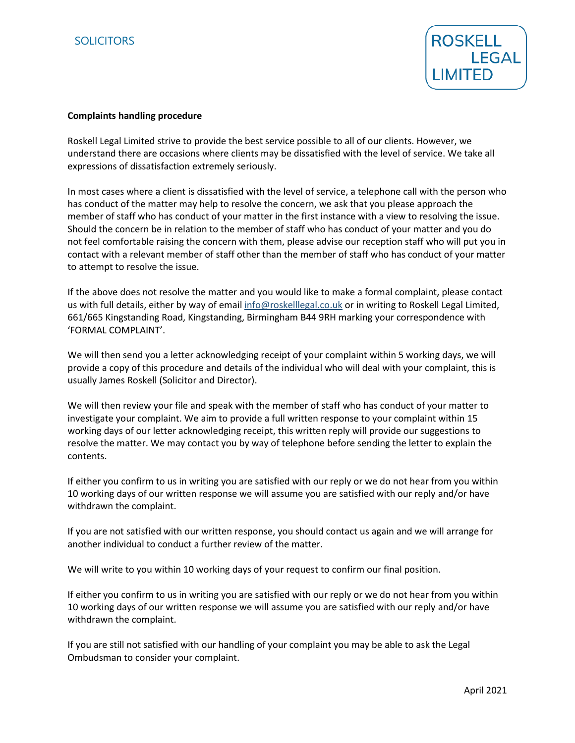

## **Complaints handling procedure**

Roskell Legal Limited strive to provide the best service possible to all of our clients. However, we understand there are occasions where clients may be dissatisfied with the level of service. We take all expressions of dissatisfaction extremely seriously.

In most cases where a client is dissatisfied with the level of service, a telephone call with the person who has conduct of the matter may help to resolve the concern, we ask that you please approach the member of staff who has conduct of your matter in the first instance with a view to resolving the issue. Should the concern be in relation to the member of staff who has conduct of your matter and you do not feel comfortable raising the concern with them, please advise our reception staff who will put you in contact with a relevant member of staff other than the member of staff who has conduct of your matter to attempt to resolve the issue.

If the above does not resolve the matter and you would like to make a formal complaint, please contact us with full details, either by way of email [info@roskelllegal.co.uk](mailto:info@roskelllegal.co.uk) or in writing to Roskell Legal Limited, 661/665 Kingstanding Road, Kingstanding, Birmingham B44 9RH marking your correspondence with 'FORMAL COMPLAINT'.

We will then send you a letter acknowledging receipt of your complaint within 5 working days, we will provide a copy of this procedure and details of the individual who will deal with your complaint, this is usually James Roskell (Solicitor and Director).

We will then review your file and speak with the member of staff who has conduct of your matter to investigate your complaint. We aim to provide a full written response to your complaint within 15 working days of our letter acknowledging receipt, this written reply will provide our suggestions to resolve the matter. We may contact you by way of telephone before sending the letter to explain the contents.

If either you confirm to us in writing you are satisfied with our reply or we do not hear from you within 10 working days of our written response we will assume you are satisfied with our reply and/or have withdrawn the complaint.

If you are not satisfied with our written response, you should contact us again and we will arrange for another individual to conduct a further review of the matter.

We will write to you within 10 working days of your request to confirm our final position.

If either you confirm to us in writing you are satisfied with our reply or we do not hear from you within 10 working days of our written response we will assume you are satisfied with our reply and/or have withdrawn the complaint.

If you are still not satisfied with our handling of your complaint you may be able to ask the Legal Ombudsman to consider your complaint.